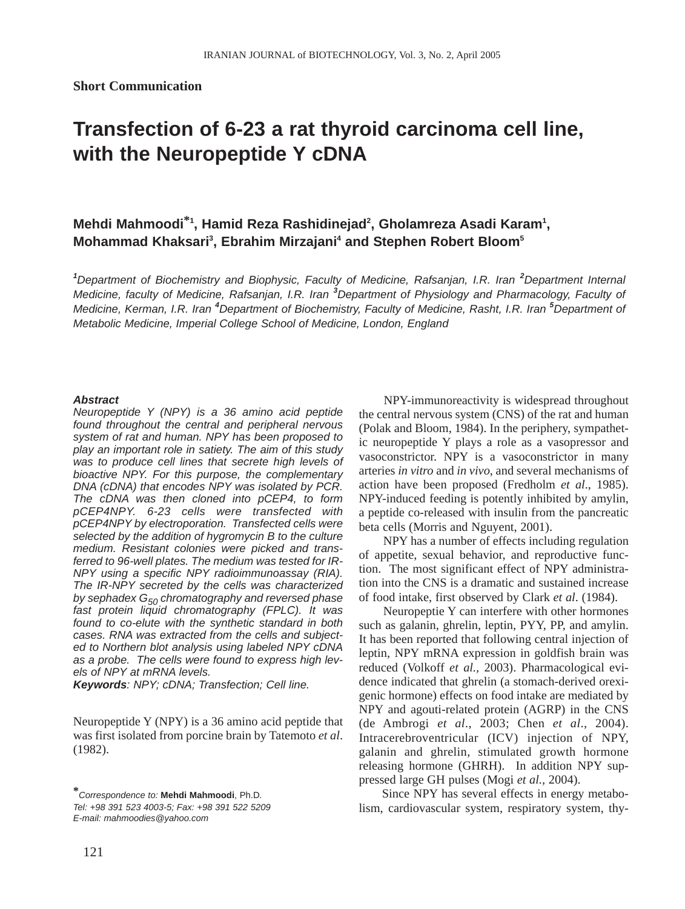**Short Communication**

# **Transfection of 6-23 a rat thyroid carcinoma cell line, with the Neuropeptide Y cDNA**

## Mehdi Mahmoodi<sup>\*1</sup>, Hamid Reza Rashidinejad<sup>2</sup>, Gholamreza Asadi Karam<sup>1</sup>, **Mohammad Khaksari3 , Ebrahim Mirzajani4 and Stephen Robert Bloom5**

<sup>1</sup>Department of Biochemistry and Biophysic, Faculty of Medicine, Rafsanjan, I.R. Iran <sup>2</sup>Department Internal *Medicine, faculty of Medicine, Rafsanjan, I.R. Iran <sup>3</sup> Department of Physiology and Pharmacology, Faculty of Medicine, Kerman, I.R. Iran <sup>4</sup> Department of Biochemistry, Faculty of Medicine, Rasht, I.R. Iran <sup>5</sup> Department of Metabolic Medicine, Imperial College School of Medicine, London, England*

#### *Abstract*

*Neuropeptide Y (NPY) is a 36 amino acid peptide found throughout the central and peripheral nervous system of rat and human. NPY has been proposed to play an important role in satiety. The aim of this study was to produce cell lines that secrete high levels of bioactive NPY. For this purpose, the complementary DNA (cDNA) that encodes NPY was isolated by PCR. The cDNA was then cloned into pCEP4, to form pCEP4NPY. 6-23 cells were transfected with pCEP4NPY by electroporation. Transfected cells were selected by the addition of hygromycin B to the culture medium. Resistant colonies were picked and transferred to 96-well plates. The medium was tested for IR-NPY using a specific NPY radioimmunoassay (RIA). The IR-NPY secreted by the cells was characterized by sephadex G50 chromatography and reversed phase fast protein liquid chromatography (FPLC). It was found to co-elute with the synthetic standard in both cases. RNA was extracted from the cells and subjected to Northern blot analysis using labeled NPY cDNA as a probe. The cells were found to express high levels of NPY at mRNA levels.*

*Keywords: NPY; cDNA; Transfection; Cell line.*

Neuropeptide Y (NPY) is a 36 amino acid peptide that was first isolated from porcine brain by Tatemoto *et al*. (1982).

NPY-immunoreactivity is widespread throughout the central nervous system (CNS) of the rat and human (Polak and Bloom, 1984). In the periphery, sympathetic neuropeptide Y plays a role as a vasopressor and vasoconstrictor. NPY is a vasoconstrictor in many arteries *in vitro* and *in vivo*, and several mechanisms of action have been proposed (Fredholm *et al*., 1985). NPY-induced feeding is potently inhibited by amylin, a peptide co-released with insulin from the pancreatic beta cells (Morris and Nguyent, 2001).

NPY has a number of effects including regulation of appetite, sexual behavior, and reproductive function. The most significant effect of NPY administration into the CNS is a dramatic and sustained increase of food intake, first observed by Clark *et al*. (1984).

Neuropeptie Y can interfere with other hormones such as galanin, ghrelin, leptin, PYY, PP, and amylin. It has been reported that following central injection of leptin, NPY mRNA expression in goldfish brain was reduced (Volkoff *et al.,* 2003). Pharmacological evidence indicated that ghrelin (a stomach-derived orexigenic hormone) effects on food intake are mediated by NPY and agouti-related protein (AGRP) in the CNS (de Ambrogi *et al*., 2003; Chen *et al*., 2004). Intracerebroventricular (ICV) injection of NPY, galanin and ghrelin, stimulated growth hormone releasing hormone (GHRH). In addition NPY suppressed large GH pulses (Mogi *et al.,* 2004).

Since NPY has several effects in energy metabolism, cardiovascular system, respiratory system, thy-

**<sup>\*</sup>***Correspondence to:* **Mehdi Mahmoodi**, Ph.D*. Tel: +98 391 523 4003-5; Fax: +98 391 522 5209 E-mail: mahmoodies@yahoo.com*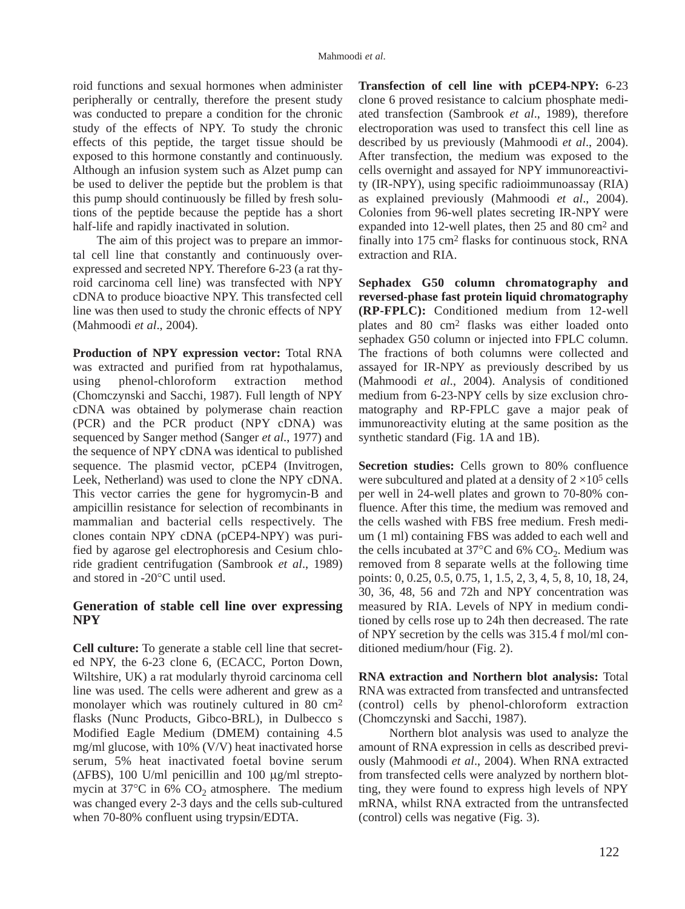roid functions and sexual hormones when administer peripherally or centrally, therefore the present study was conducted to prepare a condition for the chronic study of the effects of NPY. To study the chronic effects of this peptide, the target tissue should be exposed to this hormone constantly and continuously. Although an infusion system such as Alzet pump can be used to deliver the peptide but the problem is that this pump should continuously be filled by fresh solutions of the peptide because the peptide has a short half-life and rapidly inactivated in solution.

The aim of this project was to prepare an immortal cell line that constantly and continuously overexpressed and secreted NPY. Therefore 6-23 (a rat thyroid carcinoma cell line) was transfected with NPY cDNA to produce bioactive NPY. This transfected cell line was then used to study the chronic effects of NPY (Mahmoodi *et al*., 2004).

**Production of NPY expression vector:** Total RNA was extracted and purified from rat hypothalamus, using phenol-chloroform extraction method (Chomczynski and Sacchi, 1987). Full length of NPY cDNA was obtained by polymerase chain reaction (PCR) and the PCR product (NPY cDNA) was sequenced by Sanger method (Sanger *et al*., 1977) and the sequence of NPY cDNA was identical to published sequence. The plasmid vector, pCEP4 (Invitrogen, Leek, Netherland) was used to clone the NPY cDNA. This vector carries the gene for hygromycin-B and ampicillin resistance for selection of recombinants in mammalian and bacterial cells respectively. The clones contain NPY cDNA (pCEP4-NPY) was purified by agarose gel electrophoresis and Cesium chloride gradient centrifugation (Sambrook *et al*., 1989) and stored in -20°C until used.

### **Generation of stable cell line over expressing NPY**

**Cell culture:** To generate a stable cell line that secreted NPY, the 6-23 clone 6, (ECACC, Porton Down, Wiltshire, UK) a rat modularly thyroid carcinoma cell line was used. The cells were adherent and grew as a monolayer which was routinely cultured in 80 cm2 flasks (Nunc Products, Gibco-BRL), in Dulbecco s Modified Eagle Medium (DMEM) containing 4.5 mg/ml glucose, with 10% (V/V) heat inactivated horse serum, 5% heat inactivated foetal bovine serum (∆FBS), 100 U/ml penicillin and 100 µg/ml streptomycin at 37 $^{\circ}$ C in 6% CO<sub>2</sub> atmosphere. The medium was changed every 2-3 days and the cells sub-cultured when 70-80% confluent using trypsin/EDTA.

**Transfection of cell line with pCEP4-NPY:** 6-23 clone 6 proved resistance to calcium phosphate mediated transfection (Sambrook *et al*., 1989), therefore electroporation was used to transfect this cell line as described by us previously (Mahmoodi *et al*., 2004). After transfection, the medium was exposed to the cells overnight and assayed for NPY immunoreactivity (IR-NPY), using specific radioimmunoassay (RIA) as explained previously (Mahmoodi *et al*., 2004). Colonies from 96-well plates secreting IR-NPY were expanded into 12-well plates, then 25 and 80 cm2 and finally into 175 cm2 flasks for continuous stock, RNA extraction and RIA.

**Sephadex G50 column chromatography and reversed-phase fast protein liquid chromatography (RP-FPLC):** Conditioned medium from 12-well plates and 80 cm2 flasks was either loaded onto sephadex G50 column or injected into FPLC column. The fractions of both columns were collected and assayed for IR-NPY as previously described by us (Mahmoodi *et al*., 2004). Analysis of conditioned medium from 6-23-NPY cells by size exclusion chromatography and RP-FPLC gave a major peak of immunoreactivity eluting at the same position as the synthetic standard (Fig. 1A and 1B).

**Secretion studies:** Cells grown to 80% confluence were subcultured and plated at a density of  $2 \times 10^5$  cells per well in 24-well plates and grown to 70-80% confluence. After this time, the medium was removed and the cells washed with FBS free medium. Fresh medium (1 ml) containing FBS was added to each well and the cells incubated at  $37^{\circ}$ C and 6% CO<sub>2</sub>. Medium was removed from 8 separate wells at the following time points: 0, 0.25, 0.5, 0.75, 1, 1.5, 2, 3, 4, 5, 8, 10, 18, 24, 30, 36, 48, 56 and 72h and NPY concentration was measured by RIA. Levels of NPY in medium conditioned by cells rose up to 24h then decreased. The rate of NPY secretion by the cells was 315.4 f mol/ml conditioned medium/hour (Fig. 2).

**RNA extraction and Northern blot analysis:** Total RNA was extracted from transfected and untransfected (control) cells by phenol-chloroform extraction (Chomczynski and Sacchi, 1987).

Northern blot analysis was used to analyze the amount of RNA expression in cells as described previously (Mahmoodi *et al*., 2004). When RNA extracted from transfected cells were analyzed by northern blotting, they were found to express high levels of NPY mRNA, whilst RNA extracted from the untransfected (control) cells was negative (Fig. 3).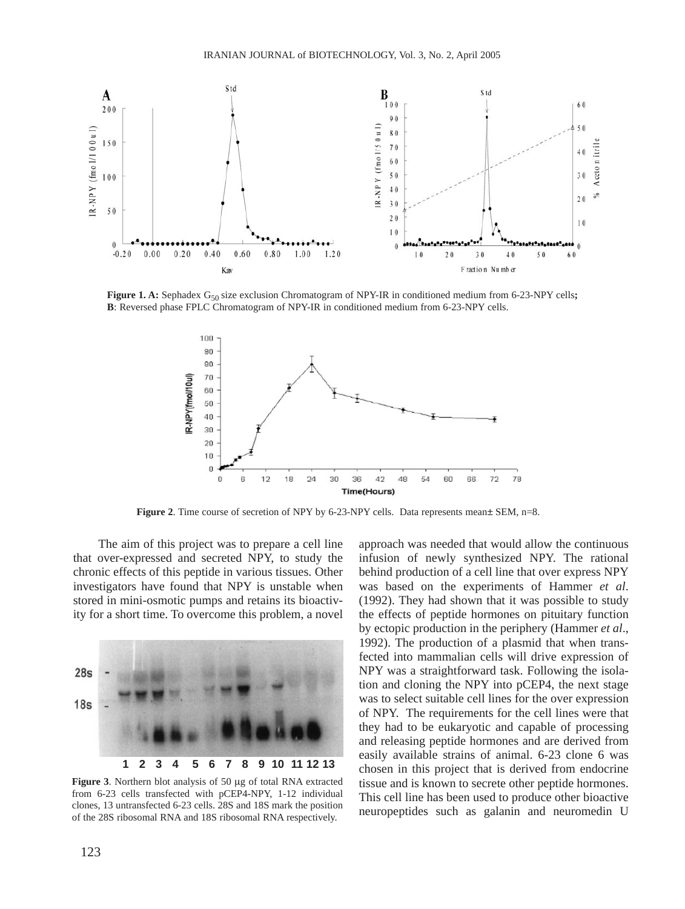

**Figure 1. A:** Sephadex G<sub>50</sub> size exclusion Chromatogram of NPY-IR in conditioned medium from 6-23-NPY cells**; B**: Reversed phase FPLC Chromatogram of NPY-IR in conditioned medium from 6-23-NPY cells.



**Figure 2.** Time course of secretion of NPY by 6-23-NPY cells. Data represents mean± SEM, n=8.

The aim of this project was to prepare a cell line that over-expressed and secreted NPY, to study the chronic effects of this peptide in various tissues. Other investigators have found that NPY is unstable when stored in mini-osmotic pumps and retains its bioactivity for a short time. To overcome this problem, a novel



**Figure 3**. Northern blot analysis of 50 µg of total RNA extracted from 6-23 cells transfected with pCEP4-NPY, 1-12 individual clones, 13 untransfected 6-23 cells. 28S and 18S mark the position of the 28S ribosomal RNA and 18S ribosomal RNA respectively.

approach was needed that would allow the continuous infusion of newly synthesized NPY. The rational behind production of a cell line that over express NPY was based on the experiments of Hammer *et al*. (1992). They had shown that it was possible to study the effects of peptide hormones on pituitary function by ectopic production in the periphery (Hammer *et al*., 1992). The production of a plasmid that when transfected into mammalian cells will drive expression of NPY was a straightforward task. Following the isolation and cloning the NPY into pCEP4, the next stage was to select suitable cell lines for the over expression of NPY. The requirements for the cell lines were that they had to be eukaryotic and capable of processing and releasing peptide hormones and are derived from easily available strains of animal. 6-23 clone 6 was chosen in this project that is derived from endocrine tissue and is known to secrete other peptide hormones. This cell line has been used to produce other bioactive neuropeptides such as galanin and neuromedin U